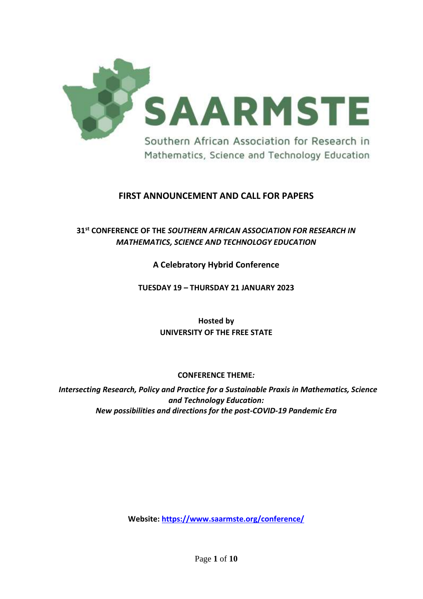

## **FIRST ANNOUNCEMENT AND CALL FOR PAPERS**

# **31 st CONFERENCE OF THE** *SOUTHERN AFRICAN ASSOCIATION FOR RESEARCH IN MATHEMATICS, SCIENCE AND TECHNOLOGY EDUCATION*

### **A Celebratory Hybrid Conference**

#### **TUESDAY 19 – THURSDAY 21 JANUARY 2023**

**Hosted by UNIVERSITY OF THE FREE STATE**

#### **CONFERENCE THEME***:*

*Intersecting Research, Policy and Practice for a Sustainable Praxis in Mathematics, Science and Technology Education: New possibilities and directions for the post-COVID-19 Pandemic Era*

**Website:<https://www.saarmste.org/conference/>**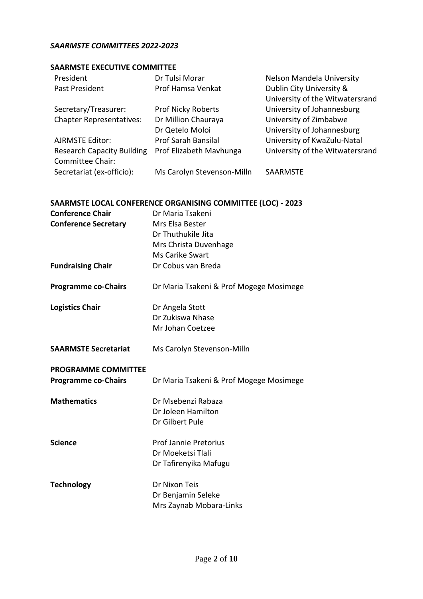#### *SAARMSTE COMMITTEES 2022-2023*

### **SAARMSTE EXECUTIVE COMMITTEE**

| President                         | Dr Tulsi Morar             | Nelson Mandela University       |
|-----------------------------------|----------------------------|---------------------------------|
| Past President                    | Prof Hamsa Venkat          | Dublin City University &        |
|                                   |                            | University of the Witwatersrand |
| Secretary/Treasurer:              | <b>Prof Nicky Roberts</b>  | University of Johannesburg      |
| <b>Chapter Representatives:</b>   | Dr Million Chauraya        | University of Zimbabwe          |
|                                   | Dr Qetelo Moloi            | University of Johannesburg      |
| <b>AJRMSTE Editor:</b>            | Prof Sarah Bansilal        | University of KwaZulu-Natal     |
| <b>Research Capacity Building</b> | Prof Elizabeth Mavhunga    | University of the Witwatersrand |
| Committee Chair:                  |                            |                                 |
| Secretariat (ex-officio):         | Ms Carolyn Stevenson-Milln | SAARMSTE                        |

## **SAARMSTE LOCAL CONFERENCE ORGANISING COMMITTEE (LOC) - 2023**

| <b>Conference Chair</b>     | Dr Maria Tsakeni                        |
|-----------------------------|-----------------------------------------|
| <b>Conference Secretary</b> | Mrs Elsa Bester                         |
|                             | Dr Thuthukile Jita                      |
|                             | Mrs Christa Duvenhage                   |
|                             | Ms Carike Swart                         |
| <b>Fundraising Chair</b>    | Dr Cobus van Breda                      |
| <b>Programme co-Chairs</b>  | Dr Maria Tsakeni & Prof Mogege Mosimege |
| <b>Logistics Chair</b>      | Dr Angela Stott                         |
|                             | Dr Zukiswa Nhase                        |
|                             | Mr Johan Coetzee                        |
| <b>SAARMSTE Secretariat</b> | Ms Carolyn Stevenson-Milln              |
| <b>PROGRAMME COMMITTEE</b>  |                                         |
| <b>Programme co-Chairs</b>  | Dr Maria Tsakeni & Prof Mogege Mosimege |
| <b>Mathematics</b>          | Dr Msebenzi Rabaza                      |
|                             | Dr Joleen Hamilton                      |
|                             | Dr Gilbert Pule                         |
| <b>Science</b>              | <b>Prof Jannie Pretorius</b>            |
|                             | Dr Moeketsi Tlali                       |
|                             | Dr Tafirenyika Mafugu                   |
| <b>Technology</b>           | Dr Nixon Teis                           |
|                             | Dr Benjamin Seleke                      |
|                             | Mrs Zaynab Mobara-Links                 |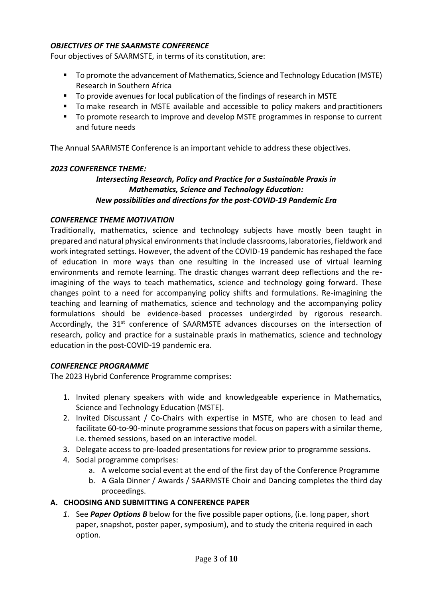### *OBJECTIVES OF THE SAARMSTE CONFERENCE*

Four objectives of SAARMSTE, in terms of its constitution, are:

- To promote the advancement of Mathematics, Science and Technology Education (MSTE) Research in Southern Africa
- To provide avenues for local publication of the findings of research in MSTE
- To make research in MSTE available and accessible to policy makers and practitioners
- To promote research to improve and develop MSTE programmes in response to current and future needs

The Annual SAARMSTE Conference is an important vehicle to address these objectives.

#### *2023 CONFERENCE THEME:*

## *Intersecting Research, Policy and Practice for a Sustainable Praxis in Mathematics, Science and Technology Education: New possibilities and directions for the post-COVID-19 Pandemic Era*

#### *CONFERENCE THEME MOTIVATION*

Traditionally, mathematics, science and technology subjects have mostly been taught in prepared and natural physical environments that include classrooms, laboratories, fieldwork and work integrated settings. However, the advent of the COVID-19 pandemic has reshaped the face of education in more ways than one resulting in the increased use of virtual learning environments and remote learning. The drastic changes warrant deep reflections and the reimagining of the ways to teach mathematics, science and technology going forward. These changes point to a need for accompanying policy shifts and formulations. Re-imagining the teaching and learning of mathematics, science and technology and the accompanying policy formulations should be evidence-based processes undergirded by rigorous research. Accordingly, the  $31<sup>st</sup>$  conference of SAARMSTE advances discourses on the intersection of research, policy and practice for a sustainable praxis in mathematics, science and technology education in the post-COVID-19 pandemic era.

#### *CONFERENCE PROGRAMME*

The 2023 Hybrid Conference Programme comprises:

- 1. Invited plenary speakers with wide and knowledgeable experience in Mathematics, Science and Technology Education (MSTE).
- 2. Invited Discussant / Co-Chairs with expertise in MSTE, who are chosen to lead and facilitate 60-to-90-minute programme sessionsthat focus on papers with a similar theme, i.e. themed sessions, based on an interactive model.
- 3. Delegate access to pre-loaded presentations for review prior to programme sessions.
- 4. Social programme comprises:
	- a. A welcome social event at the end of the first day of the Conference Programme
	- b. A Gala Dinner / Awards / SAARMSTE Choir and Dancing completes the third day proceedings.

#### **A. CHOOSING AND SUBMITTING A CONFERENCE PAPER**

*1.* See *Paper Options B* below for the five possible paper options, (i.e. long paper, short paper, snapshot, poster paper, symposium), and to study the criteria required in each option*.*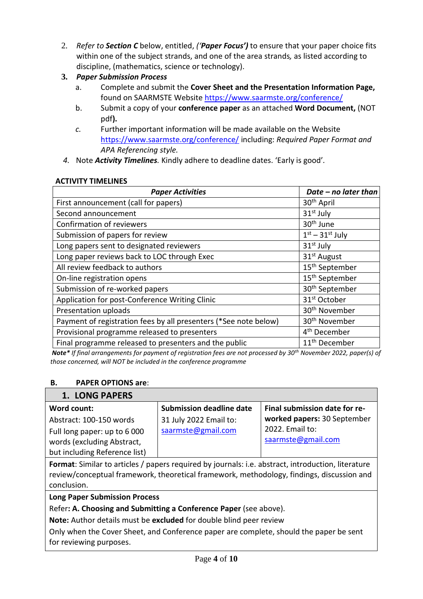- 2. *Refer to Section C* below, entitled, *('Paper Focus')* to ensure that your paper choice fits within one of the subject strands, and one of the area strands*,* as listed according to discipline, (mathematics, science or technology).
- **3.** *Paper Submission Process*
	- a. Complete and submit the **Cover Sheet and the Presentation Information Page,** found on SAARMSTE Website<https://www.saarmste.org/conference/>
	- b. Submit a copy of your **conference paper** as an attached **Word Document,** (NOT pdf**).**
	- *c.* Further important information will be made available on the Website <https://www.saarmste.org/conference/> including: *Required Paper Format and APA Referencing style.*
- *4.* Note *Activity Timelines.* Kindly adhere to deadline dates. 'Early is good'*.*

### **ACTIVITY TIMELINES**

| <b>Paper Activities</b>                                          | Date - no later than       |
|------------------------------------------------------------------|----------------------------|
| First announcement (call for papers)                             | 30 <sup>th</sup> April     |
| Second announcement                                              | $31st$ July                |
| Confirmation of reviewers                                        | 30 <sup>th</sup> June      |
| Submission of papers for review                                  | $1st - 31st$ July          |
| Long papers sent to designated reviewers                         | 31 <sup>st</sup> July      |
| Long paper reviews back to LOC through Exec                      | 31 <sup>st</sup> August    |
| All review feedback to authors                                   | 15 <sup>th</sup> September |
| On-line registration opens                                       | 15 <sup>th</sup> September |
| Submission of re-worked papers                                   | 30 <sup>th</sup> September |
| Application for post-Conference Writing Clinic                   | 31 <sup>st</sup> October   |
| Presentation uploads                                             | 30 <sup>th</sup> November  |
| Payment of registration fees by all presenters (*See note below) | 30 <sup>th</sup> November  |
| Provisional programme released to presenters                     | 4 <sup>th</sup> December   |
| Final programme released to presenters and the public            | 11 <sup>th</sup> December  |

*Note\* If final arrangements for payment of registration fees are not processed by 30th November 2022, paper(s) of those concerned, will NOT be included in the conference programme*

## **B. PAPER OPTIONS are**:

## **1. LONG PAPERS**

| Word count:                   | <b>Submission deadline date</b> | Final submission date for re- |
|-------------------------------|---------------------------------|-------------------------------|
| Abstract: 100-150 words       | 31 July 2022 Email to:          | worked papers: 30 September   |
| Full long paper: up to 6 000  | saarmste@gmail.com              | 2022. Email to:               |
| words (excluding Abstract,    |                                 | saarmste@gmail.com            |
| but including Reference list) |                                 |                               |

**Format**: Similar to articles / papers required by journals: i.e. abstract, introduction, literature review/conceptual framework, theoretical framework, methodology, findings, discussion and conclusion.

**Long Paper Submission Process**

Refer**: A. Choosing and Submitting a Conference Paper** (see above).

**Note:** Author details must be **excluded** for double blind peer review

Only when the Cover Sheet, and Conference paper are complete, should the paper be sent for reviewing purposes.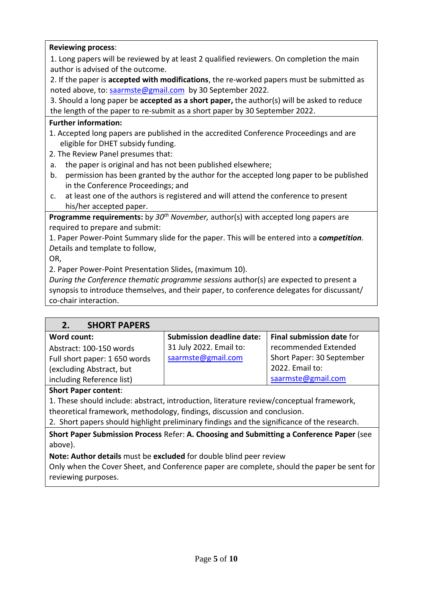### **Reviewing process**:

1. Long papers will be reviewed by at least 2 qualified reviewers. On completion the main author is advised of the outcome.

2. If the paper is **accepted with modifications**, the re-worked papers must be submitted as noted above, to: [saarmste@gmail.com](mailto:saarmste@gmail.com) by 30 September 2022.

3. Should a long paper be **accepted as a short paper,** the author(s) will be asked to reduce the length of the paper to re-submit as a short paper by 30 September 2022.

### **Further information:**

- 1. Accepted long papers are published in the accredited Conference Proceedings and are eligible for DHET subsidy funding.
- 2. The Review Panel presumes that:
- a. the paper is original and has not been published elsewhere;
- b. permission has been granted by the author for the accepted long paper to be published in the Conference Proceedings; and
- c. at least one of the authors is registered and will attend the conference to present his/her accepted paper.

**Programme requirements:** b*y 30th November,* author(s) with accepted long papers are required to prepare and submit:

1. Paper Power-Point Summary slide for the paper. This will be entered into a **c***ompetition. D*etails and template to follow,

OR,

2. Paper Power-Point Presentation Slides, (maximum 10).

*During the Conference thematic programme sessions* author(s) are expected to present a synopsis to introduce themselves, and their paper, to conference delegates for discussant/ co-chair interaction.

| <b>SHORT PAPERS</b><br>2.     |                                  |                           |
|-------------------------------|----------------------------------|---------------------------|
| Word count:                   | <b>Submission deadline date:</b> | Final submission date for |
| Abstract: 100-150 words       | 31 July 2022. Email to:          | recommended Extended      |
| Full short paper: 1 650 words | saarmste@gmail.com               | Short Paper: 30 September |
| (excluding Abstract, but      |                                  | 2022. Email to:           |
| including Reference list)     |                                  | saarmste@gmail.com        |

#### **Short Paper content**:

1. These should include: abstract, introduction, literature review/conceptual framework, theoretical framework, methodology, findings, discussion and conclusion.

2. Short papers should highlight preliminary findings and the significance of the research.

**Short Paper Submission Process** Refer: **A. Choosing and Submitting a Conference Paper** (see above).

**Note: Author details** must be **excluded** for double blind peer review

Only when the Cover Sheet, and Conference paper are complete, should the paper be sent for reviewing purposes.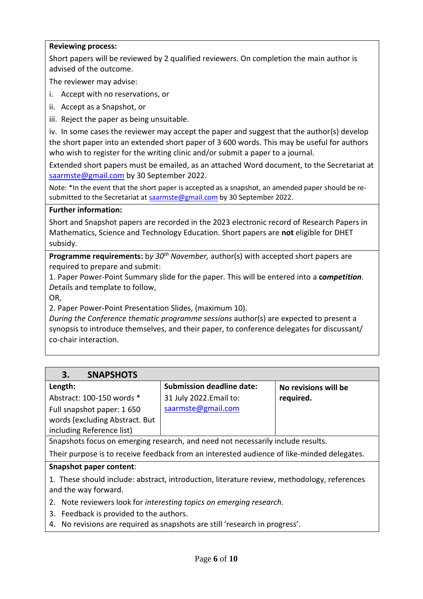#### **Reviewing process:**

Short papers will be reviewed by 2 qualified reviewers. On completion the main author is advised of the outcome.

The reviewer may advise:

- i. Accept with no reservations, or
- ii. Accept as a Snapshot, or
- iii. Reject the paper as being unsuitable.

iv. In some cases the reviewer may accept the paper and suggest that the author(s) develop the short paper into an extended short paper of 3 600 words. This may be useful for authors who wish to register for the writing clinic and/or submit a paper to a journal.

Extended short papers must be emailed, as an attached Word document, to the Secretariat at [saarmste@gmail.com](mailto:saarmste@gmail.com) by 30 September 2022.

Note: \*In the event that the short paper is accepted as a snapshot, an amended paper should be resubmitted to the Secretariat a[t saarmste@gmail.com](mailto:saarmste@gmail.com) by 30 September 2022.

#### **Further information:**

Short and Snapshot papers are recorded in the 2023 electronic record of Research Papers in Mathematics, Science and Technology Education. Short papers are **not** eligible for DHET subsidy.

**Programme requirements:** b*y 30th November,* author(s) with accepted short papers are required to prepare and submit:

1. Paper Power-Point Summary slide for the paper. This will be entered into a **c***ompetition. D*etails and template to follow,

OR,

2. Paper Power-Point Presentation Slides, (maximum 10).

*During the Conference thematic programme sessions* author(s) are expected to present a synopsis to introduce themselves, and their paper, to conference delegates for discussant/ co-chair interaction.

| <b>SNAPSHOTS</b><br>3.                                                         |                                  |                      |
|--------------------------------------------------------------------------------|----------------------------------|----------------------|
| Length:                                                                        | <b>Submission deadline date:</b> | No revisions will be |
| Abstract: 100-150 words *                                                      | 31 July 2022. Email to:          | required.            |
| Full snapshot paper: 1650                                                      | saarmste@gmail.com               |                      |
| words (excluding Abstract. But                                                 |                                  |                      |
| including Reference list)                                                      |                                  |                      |
| Connebate facus an amarging research, and need not necessarily include results |                                  |                      |

Snapshots focus on emerging research, and need not necessarily include results.

Their purpose is to receive feedback from an interested audience of like-minded delegates.

#### **Snapshot paper content**:

1. These should include: abstract, introduction, literature review, methodology, references and the way forward.

2. Note reviewers look for *interesting topics on emerging research.*

- 3. Feedback is provided to the authors.
- 4. No revisions are required as snapshots are still 'research in progress'.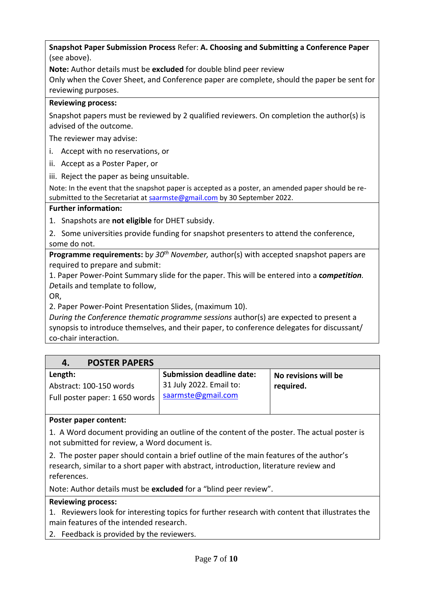**Snapshot Paper Submission Process** Refer: **A. Choosing and Submitting a Conference Paper** (see above).

**Note:** Author details must be **excluded** for double blind peer review

Only when the Cover Sheet, and Conference paper are complete, should the paper be sent for reviewing purposes.

### **Reviewing process:**

Snapshot papers must be reviewed by 2 qualified reviewers. On completion the author(s) is advised of the outcome.

The reviewer may advise:

i. Accept with no reservations, or

ii. Accept as a Poster Paper, or

iii. Reject the paper as being unsuitable.

Note: In the event that the snapshot paper is accepted as a poster, an amended paper should be resubmitted to the Secretariat a[t saarmste@gmail.com](mailto:saarmste@gmail.com) by 30 September 2022.

#### **Further information:**

1. Snapshots are **not eligible** for DHET subsidy.

2. Some universities provide funding for snapshot presenters to attend the conference, some do not.

**Programme requirements:** b*y 30th November,* author(s) with accepted snapshot papers are required to prepare and submit:

1. Paper Power-Point Summary slide for the paper. This will be entered into a **c***ompetition. D*etails and template to follow,

OR,

2. Paper Power-Point Presentation Slides, (maximum 10).

*During the Conference thematic programme sessions* author(s) are expected to present a synopsis to introduce themselves, and their paper, to conference delegates for discussant/ co-chair interaction.

| <b>POSTER PAPERS</b><br>4.                                |                                               |                      |
|-----------------------------------------------------------|-----------------------------------------------|----------------------|
| Length:                                                   | <b>Submission deadline date:</b>              | No revisions will be |
| Abstract: 100-150 words<br>Full poster paper: 1 650 words | 31 July 2022. Email to:<br>saarmste@gmail.com | required.            |

#### **Poster paper content:**

1. A Word document providing an outline of the content of the poster. The actual poster is not submitted for review, a Word document is.

2. The poster paper should contain a brief outline of the main features of the author's research, similar to a short paper with abstract, introduction, literature review and references.

Note: Author details must be **excluded** for a "blind peer review".

#### **Reviewing process:**

1. Reviewers look for interesting topics for further research with content that illustrates the main features of the intended research.

2. Feedback is provided by the reviewers.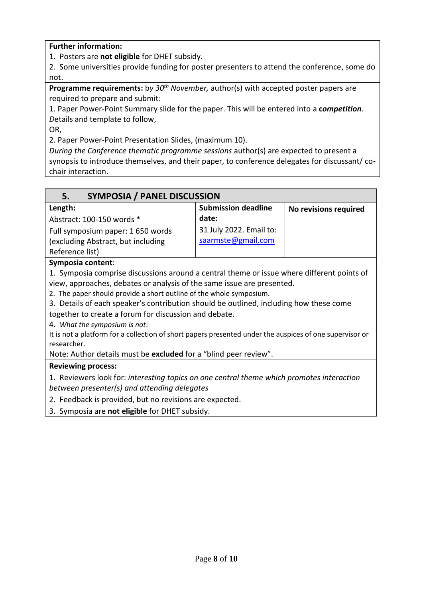**Further information:** 

1. Posters are **not eligible** for DHET subsidy.

2. Some universities provide funding for poster presenters to attend the conference, some do not.

**Programme requirements:** b*y 30th November,* author(s) with accepted poster papers are required to prepare and submit:

1. Paper Power-Point Summary slide for the paper. This will be entered into a **c***ompetition. D*etails and template to follow,

OR,

2. Paper Power-Point Presentation Slides, (maximum 10).

*During the Conference thematic programme sessions* author(s) are expected to present a synopsis to introduce themselves, and their paper, to conference delegates for discussant/ cochair interaction.

| <b>SYMPOSIA / PANEL DISCUSSION</b><br>5.                                                                |                            |                       |
|---------------------------------------------------------------------------------------------------------|----------------------------|-----------------------|
| Length:                                                                                                 | <b>Submission deadline</b> | No revisions required |
| Abstract: 100-150 words *                                                                               | date:                      |                       |
| Full symposium paper: 1 650 words                                                                       | 31 July 2022. Email to:    |                       |
| (excluding Abstract, but including                                                                      | saarmste@gmail.com         |                       |
| Reference list)                                                                                         |                            |                       |
| Symposia content:                                                                                       |                            |                       |
| 1. Symposia comprise discussions around a central theme or issue where different points of              |                            |                       |
| view, approaches, debates or analysis of the same issue are presented.                                  |                            |                       |
| 2. The paper should provide a short outline of the whole symposium.                                     |                            |                       |
| 3. Details of each speaker's contribution should be outlined, including how these come                  |                            |                       |
| together to create a forum for discussion and debate.                                                   |                            |                       |
| 4. What the symposium is not:                                                                           |                            |                       |
| It is not a platform for a collection of short papers presented under the auspices of one supervisor or |                            |                       |
| researcher.                                                                                             |                            |                       |
| Note: Author details must be excluded for a "blind peer review".                                        |                            |                       |
| <b>Reviewing process:</b>                                                                               |                            |                       |
| 1. Reviewers look for: interesting topics on one central theme which promotes interaction               |                            |                       |
| between presenter(s) and attending delegates                                                            |                            |                       |
| 2. Feedback is provided, but no revisions are expected.                                                 |                            |                       |
| 2. Cumposia are not eligible for DUET subsidu                                                           |                            |                       |

3. Symposia are **not eligible** for DHET subsidy.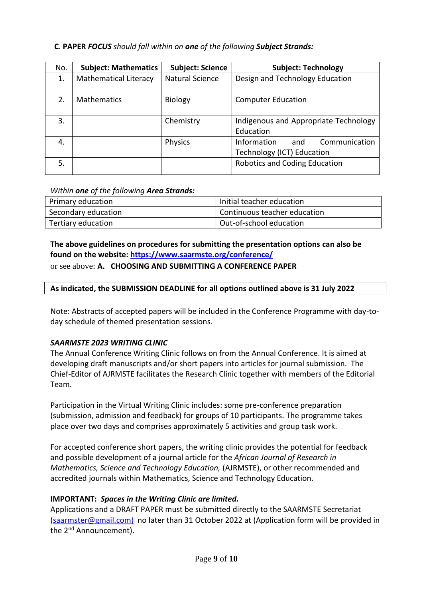### **C**. **PAPER** *FOCUS should fall within on one of the following Subject Strands:*

| No. | <b>Subject: Mathematics</b>  | <b>Subject: Science</b> | <b>Subject: Technology</b>                                        |
|-----|------------------------------|-------------------------|-------------------------------------------------------------------|
| 1.  | <b>Mathematical Literacy</b> | <b>Natural Science</b>  | Design and Technology Education                                   |
| 2.  | <b>Mathematics</b>           | Biology                 | <b>Computer Education</b>                                         |
| 3.  |                              | Chemistry               | Indigenous and Appropriate Technology<br>Education                |
| 4.  |                              | <b>Physics</b>          | Communication<br>Information<br>and<br>Technology (ICT) Education |
| 5.  |                              |                         | Robotics and Coding Education                                     |

#### *Within one of the following Area Strands:*

| Primary education   | Initial teacher education    |
|---------------------|------------------------------|
| Secondary education | Continuous teacher education |
| Tertiary education  | Out-of-school education      |

**The above guidelines on procedures for submitting the presentation options can also be found on the website:<https://www.saarmste.org/conference/>**

#### or see above: **A. CHOOSING AND SUBMITTING A CONFERENCE PAPER**

#### **As indicated, the SUBMISSION DEADLINE for all options outlined above is 31 July 2022**

Note: Abstracts of accepted papers will be included in the Conference Programme with day-today schedule of themed presentation sessions.

#### *SAARMSTE 2023 WRITING CLINIC*

The Annual Conference Writing Clinic follows on from the Annual Conference. It is aimed at developing draft manuscripts and/or short papers into articles for journal submission. The Chief-Editor of AJRMSTE facilitates the Research Clinic together with members of the Editorial Team.

Participation in the Virtual Writing Clinic includes: some pre-conference preparation (submission, admission and feedback) for groups of 10 participants. The programme takes place over two days and comprises approximately 5 activities and group task work.

For accepted conference short papers, the writing clinic provides the potential for feedback and possible development of a journal article for the *African Journal of Research in Mathematics, Science and Technology Education,* (AJRMSTE), or other recommended and accredited journals within Mathematics, Science and Technology Education.

#### **IMPORTANT:** *Spaces in the Writing Clinic are limited.*

Applications and a DRAFT PAPER must be submitted directly to the SAARMSTE Secretariat [\(saarmster@gmail.com\)](mailto:saarmster@gmail.com) no later than 31 October 2022 at (Application form will be provided in the 2<sup>nd</sup> Announcement).